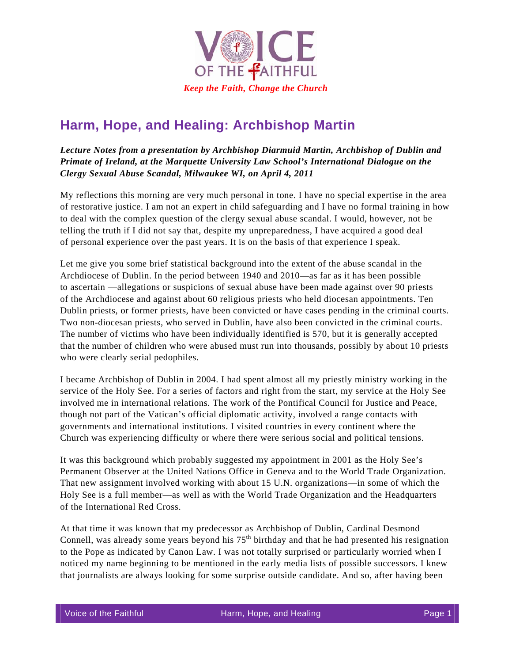

## **Harm, Hope, and Healing: Archbishop Martin**

*Lecture Notes from a presentation by Archbishop Diarmuid Martin, Archbishop of Dublin and Primate of Ireland, at the Marquette University Law School's International Dialogue on the Clergy Sexual Abuse Scandal, Milwaukee WI, on April 4, 2011* 

My reflections this morning are very much personal in tone. I have no special expertise in the area of restorative justice. I am not an expert in child safeguarding and I have no formal training in how to deal with the complex question of the clergy sexual abuse scandal. I would, however, not be telling the truth if I did not say that, despite my unpreparedness, I have acquired a good deal of personal experience over the past years. It is on the basis of that experience I speak.

Let me give you some brief statistical background into the extent of the abuse scandal in the Archdiocese of Dublin. In the period between 1940 and 2010—as far as it has been possible to ascertain —allegations or suspicions of sexual abuse have been made against over 90 priests of the Archdiocese and against about 60 religious priests who held diocesan appointments. Ten Dublin priests, or former priests, have been convicted or have cases pending in the criminal courts. Two non-diocesan priests, who served in Dublin, have also been convicted in the criminal courts. The number of victims who have been individually identified is 570, but it is generally accepted that the number of children who were abused must run into thousands, possibly by about 10 priests who were clearly serial pedophiles.

I became Archbishop of Dublin in 2004. I had spent almost all my priestly ministry working in the service of the Holy See. For a series of factors and right from the start, my service at the Holy See involved me in international relations. The work of the Pontifical Council for Justice and Peace, though not part of the Vatican's official diplomatic activity, involved a range contacts with governments and international institutions. I visited countries in every continent where the Church was experiencing difficulty or where there were serious social and political tensions.

It was this background which probably suggested my appointment in 2001 as the Holy See's Permanent Observer at the United Nations Office in Geneva and to the World Trade Organization. That new assignment involved working with about 15 U.N. organizations—in some of which the Holy See is a full member—as well as with the World Trade Organization and the Headquarters of the International Red Cross.

At that time it was known that my predecessor as Archbishop of Dublin, Cardinal Desmond Connell, was already some years beyond his  $75<sup>th</sup>$  birthday and that he had presented his resignation to the Pope as indicated by Canon Law. I was not totally surprised or particularly worried when I noticed my name beginning to be mentioned in the early media lists of possible successors. I knew that journalists are always looking for some surprise outside candidate. And so, after having been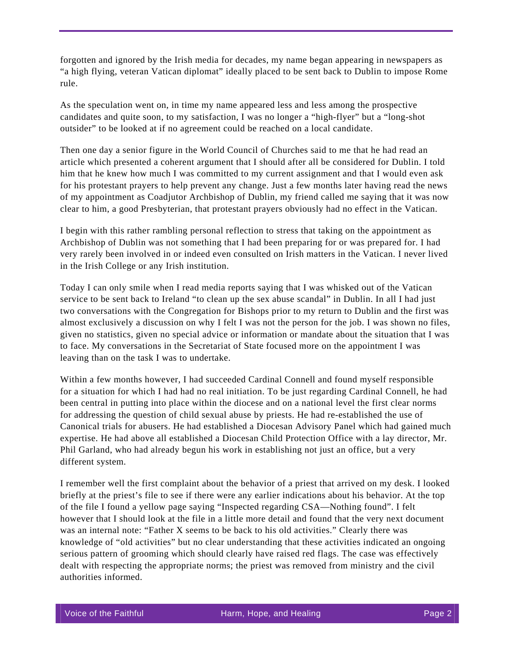forgotten and ignored by the Irish media for decades, my name began appearing in newspapers as "a high flying, veteran Vatican diplomat" ideally placed to be sent back to Dublin to impose Rome rule.

As the speculation went on, in time my name appeared less and less among the prospective candidates and quite soon, to my satisfaction, I was no longer a "high-flyer" but a "long-shot outsider" to be looked at if no agreement could be reached on a local candidate.

Then one day a senior figure in the World Council of Churches said to me that he had read an article which presented a coherent argument that I should after all be considered for Dublin. I told him that he knew how much I was committed to my current assignment and that I would even ask for his protestant prayers to help prevent any change. Just a few months later having read the news of my appointment as Coadjutor Archbishop of Dublin, my friend called me saying that it was now clear to him, a good Presbyterian, that protestant prayers obviously had no effect in the Vatican.

I begin with this rather rambling personal reflection to stress that taking on the appointment as Archbishop of Dublin was not something that I had been preparing for or was prepared for. I had very rarely been involved in or indeed even consulted on Irish matters in the Vatican. I never lived in the Irish College or any Irish institution.

Today I can only smile when I read media reports saying that I was whisked out of the Vatican service to be sent back to Ireland "to clean up the sex abuse scandal" in Dublin. In all I had just two conversations with the Congregation for Bishops prior to my return to Dublin and the first was almost exclusively a discussion on why I felt I was not the person for the job. I was shown no files, given no statistics, given no special advice or information or mandate about the situation that I was to face. My conversations in the Secretariat of State focused more on the appointment I was leaving than on the task I was to undertake.

Within a few months however, I had succeeded Cardinal Connell and found myself responsible for a situation for which I had had no real initiation. To be just regarding Cardinal Connell, he had been central in putting into place within the diocese and on a national level the first clear norms for addressing the question of child sexual abuse by priests. He had re-established the use of Canonical trials for abusers. He had established a Diocesan Advisory Panel which had gained much expertise. He had above all established a Diocesan Child Protection Office with a lay director, Mr. Phil Garland, who had already begun his work in establishing not just an office, but a very different system.

I remember well the first complaint about the behavior of a priest that arrived on my desk. I looked briefly at the priest's file to see if there were any earlier indications about his behavior. At the top of the file I found a yellow page saying "Inspected regarding CSA—Nothing found". I felt however that I should look at the file in a little more detail and found that the very next document was an internal note: "Father X seems to be back to his old activities." Clearly there was knowledge of "old activities" but no clear understanding that these activities indicated an ongoing serious pattern of grooming which should clearly have raised red flags. The case was effectively dealt with respecting the appropriate norms; the priest was removed from ministry and the civil authorities informed.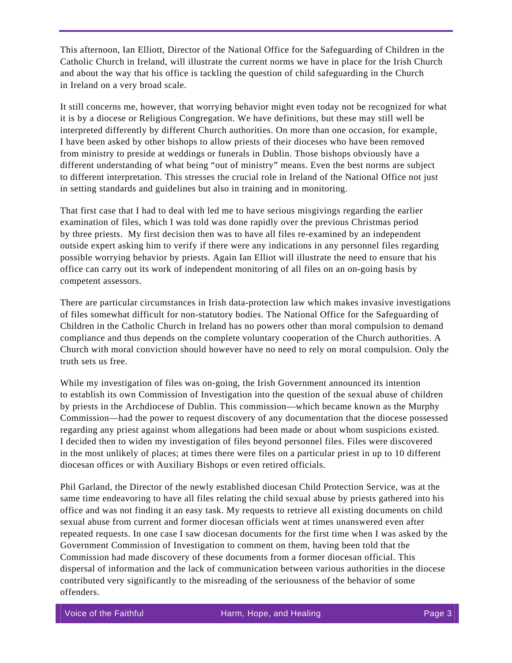This afternoon, Ian Elliott, Director of the National Office for the Safeguarding of Children in the Catholic Church in Ireland, will illustrate the current norms we have in place for the Irish Church and about the way that his office is tackling the question of child safeguarding in the Church in Ireland on a very broad scale.

It still concerns me, however, that worrying behavior might even today not be recognized for what it is by a diocese or Religious Congregation. We have definitions, but these may still well be interpreted differently by different Church authorities. On more than one occasion, for example, I have been asked by other bishops to allow priests of their dioceses who have been removed from ministry to preside at weddings or funerals in Dublin. Those bishops obviously have a different understanding of what being "out of ministry" means. Even the best norms are subject to different interpretation. This stresses the crucial role in Ireland of the National Office not just in setting standards and guidelines but also in training and in monitoring.

That first case that I had to deal with led me to have serious misgivings regarding the earlier examination of files, which I was told was done rapidly over the previous Christmas period by three priests. My first decision then was to have all files re-examined by an independent outside expert asking him to verify if there were any indications in any personnel files regarding possible worrying behavior by priests. Again Ian Elliot will illustrate the need to ensure that his office can carry out its work of independent monitoring of all files on an on-going basis by competent assessors.

There are particular circumstances in Irish data-protection law which makes invasive investigations of files somewhat difficult for non-statutory bodies. The National Office for the Safeguarding of Children in the Catholic Church in Ireland has no powers other than moral compulsion to demand compliance and thus depends on the complete voluntary cooperation of the Church authorities. A Church with moral conviction should however have no need to rely on moral compulsion. Only the truth sets us free.

While my investigation of files was on-going, the Irish Government announced its intention to establish its own Commission of Investigation into the question of the sexual abuse of children by priests in the Archdiocese of Dublin. This commission—which became known as the Murphy Commission—had the power to request discovery of any documentation that the diocese possessed regarding any priest against whom allegations had been made or about whom suspicions existed. I decided then to widen my investigation of files beyond personnel files. Files were discovered in the most unlikely of places; at times there were files on a particular priest in up to 10 different diocesan offices or with Auxiliary Bishops or even retired officials.

Phil Garland, the Director of the newly established diocesan Child Protection Service, was at the same time endeavoring to have all files relating the child sexual abuse by priests gathered into his office and was not finding it an easy task. My requests to retrieve all existing documents on child sexual abuse from current and former diocesan officials went at times unanswered even after repeated requests. In one case I saw diocesan documents for the first time when I was asked by the Government Commission of Investigation to comment on them, having been told that the Commission had made discovery of these documents from a former diocesan official. This dispersal of information and the lack of communication between various authorities in the diocese contributed very significantly to the misreading of the seriousness of the behavior of some offenders.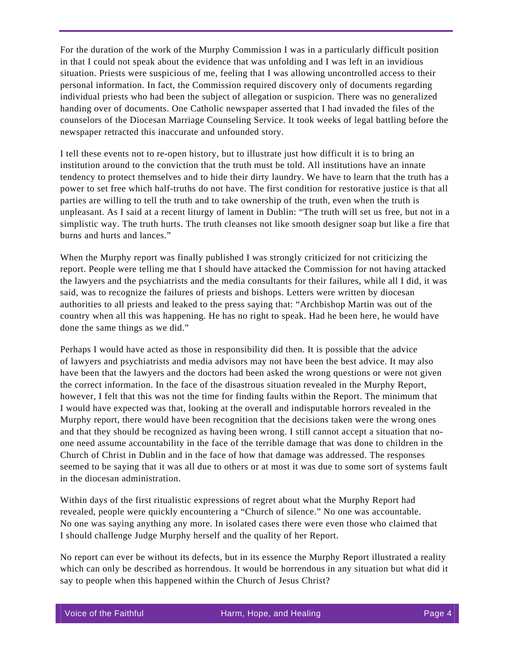For the duration of the work of the Murphy Commission I was in a particularly difficult position in that I could not speak about the evidence that was unfolding and I was left in an invidious situation. Priests were suspicious of me, feeling that I was allowing uncontrolled access to their personal information. In fact, the Commission required discovery only of documents regarding individual priests who had been the subject of allegation or suspicion. There was no generalized handing over of documents. One Catholic newspaper asserted that I had invaded the files of the counselors of the Diocesan Marriage Counseling Service. It took weeks of legal battling before the newspaper retracted this inaccurate and unfounded story.

I tell these events not to re-open history, but to illustrate just how difficult it is to bring an institution around to the conviction that the truth must be told. All institutions have an innate tendency to protect themselves and to hide their dirty laundry. We have to learn that the truth has a power to set free which half-truths do not have. The first condition for restorative justice is that all parties are willing to tell the truth and to take ownership of the truth, even when the truth is unpleasant. As I said at a recent liturgy of lament in Dublin: "The truth will set us free, but not in a simplistic way. The truth hurts. The truth cleanses not like smooth designer soap but like a fire that burns and hurts and lances."

When the Murphy report was finally published I was strongly criticized for not criticizing the report. People were telling me that I should have attacked the Commission for not having attacked the lawyers and the psychiatrists and the media consultants for their failures, while all I did, it was said, was to recognize the failures of priests and bishops. Letters were written by diocesan authorities to all priests and leaked to the press saying that: "Archbishop Martin was out of the country when all this was happening. He has no right to speak. Had he been here, he would have done the same things as we did."

Perhaps I would have acted as those in responsibility did then. It is possible that the advice of lawyers and psychiatrists and media advisors may not have been the best advice. It may also have been that the lawyers and the doctors had been asked the wrong questions or were not given the correct information. In the face of the disastrous situation revealed in the Murphy Report, however, I felt that this was not the time for finding faults within the Report. The minimum that I would have expected was that, looking at the overall and indisputable horrors revealed in the Murphy report, there would have been recognition that the decisions taken were the wrong ones and that they should be recognized as having been wrong. I still cannot accept a situation that noone need assume accountability in the face of the terrible damage that was done to children in the Church of Christ in Dublin and in the face of how that damage was addressed. The responses seemed to be saying that it was all due to others or at most it was due to some sort of systems fault in the diocesan administration.

Within days of the first ritualistic expressions of regret about what the Murphy Report had revealed, people were quickly encountering a "Church of silence." No one was accountable. No one was saying anything any more. In isolated cases there were even those who claimed that I should challenge Judge Murphy herself and the quality of her Report.

No report can ever be without its defects, but in its essence the Murphy Report illustrated a reality which can only be described as horrendous. It would be horrendous in any situation but what did it say to people when this happened within the Church of Jesus Christ?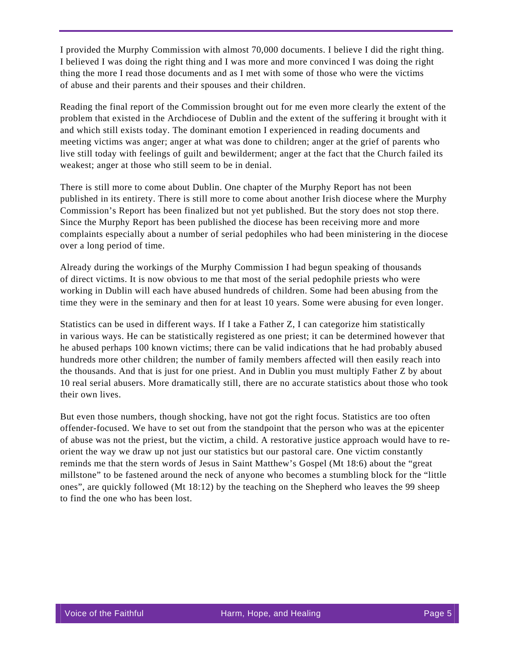I provided the Murphy Commission with almost 70,000 documents. I believe I did the right thing. I believed I was doing the right thing and I was more and more convinced I was doing the right thing the more I read those documents and as I met with some of those who were the victims of abuse and their parents and their spouses and their children.

Reading the final report of the Commission brought out for me even more clearly the extent of the problem that existed in the Archdiocese of Dublin and the extent of the suffering it brought with it and which still exists today. The dominant emotion I experienced in reading documents and meeting victims was anger; anger at what was done to children; anger at the grief of parents who live still today with feelings of guilt and bewilderment; anger at the fact that the Church failed its weakest; anger at those who still seem to be in denial.

There is still more to come about Dublin. One chapter of the Murphy Report has not been published in its entirety. There is still more to come about another Irish diocese where the Murphy Commission's Report has been finalized but not yet published. But the story does not stop there. Since the Murphy Report has been published the diocese has been receiving more and more complaints especially about a number of serial pedophiles who had been ministering in the diocese over a long period of time.

Already during the workings of the Murphy Commission I had begun speaking of thousands of direct victims. It is now obvious to me that most of the serial pedophile priests who were working in Dublin will each have abused hundreds of children. Some had been abusing from the time they were in the seminary and then for at least 10 years. Some were abusing for even longer.

Statistics can be used in different ways. If I take a Father Z, I can categorize him statistically in various ways. He can be statistically registered as one priest; it can be determined however that he abused perhaps 100 known victims; there can be valid indications that he had probably abused hundreds more other children; the number of family members affected will then easily reach into the thousands. And that is just for one priest. And in Dublin you must multiply Father Z by about 10 real serial abusers. More dramatically still, there are no accurate statistics about those who took their own lives.

But even those numbers, though shocking, have not got the right focus. Statistics are too often offender-focused. We have to set out from the standpoint that the person who was at the epicenter of abuse was not the priest, but the victim, a child. A restorative justice approach would have to reorient the way we draw up not just our statistics but our pastoral care. One victim constantly reminds me that the stern words of Jesus in Saint Matthew's Gospel (Mt 18:6) about the "great millstone" to be fastened around the neck of anyone who becomes a stumbling block for the "little ones", are quickly followed (Mt 18:12) by the teaching on the Shepherd who leaves the 99 sheep to find the one who has been lost.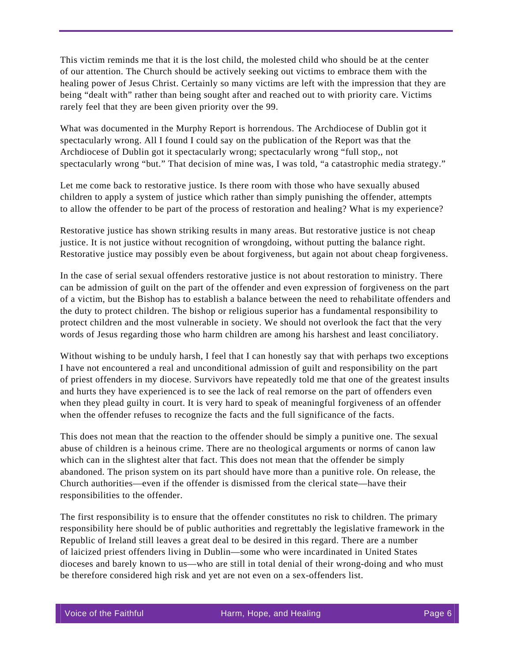This victim reminds me that it is the lost child, the molested child who should be at the center of our attention. The Church should be actively seeking out victims to embrace them with the healing power of Jesus Christ. Certainly so many victims are left with the impression that they are being "dealt with" rather than being sought after and reached out to with priority care. Victims rarely feel that they are been given priority over the 99.

What was documented in the Murphy Report is horrendous. The Archdiocese of Dublin got it spectacularly wrong. All I found I could say on the publication of the Report was that the Archdiocese of Dublin got it spectacularly wrong; spectacularly wrong "full stop,, not spectacularly wrong "but." That decision of mine was, I was told, "a catastrophic media strategy."

Let me come back to restorative justice. Is there room with those who have sexually abused children to apply a system of justice which rather than simply punishing the offender, attempts to allow the offender to be part of the process of restoration and healing? What is my experience?

Restorative justice has shown striking results in many areas. But restorative justice is not cheap justice. It is not justice without recognition of wrongdoing, without putting the balance right. Restorative justice may possibly even be about forgiveness, but again not about cheap forgiveness.

In the case of serial sexual offenders restorative justice is not about restoration to ministry. There can be admission of guilt on the part of the offender and even expression of forgiveness on the part of a victim, but the Bishop has to establish a balance between the need to rehabilitate offenders and the duty to protect children. The bishop or religious superior has a fundamental responsibility to protect children and the most vulnerable in society. We should not overlook the fact that the very words of Jesus regarding those who harm children are among his harshest and least conciliatory.

Without wishing to be unduly harsh, I feel that I can honestly say that with perhaps two exceptions I have not encountered a real and unconditional admission of guilt and responsibility on the part of priest offenders in my diocese. Survivors have repeatedly told me that one of the greatest insults and hurts they have experienced is to see the lack of real remorse on the part of offenders even when they plead guilty in court. It is very hard to speak of meaningful forgiveness of an offender when the offender refuses to recognize the facts and the full significance of the facts.

This does not mean that the reaction to the offender should be simply a punitive one. The sexual abuse of children is a heinous crime. There are no theological arguments or norms of canon law which can in the slightest alter that fact. This does not mean that the offender be simply abandoned. The prison system on its part should have more than a punitive role. On release, the Church authorities—even if the offender is dismissed from the clerical state—have their responsibilities to the offender.

The first responsibility is to ensure that the offender constitutes no risk to children. The primary responsibility here should be of public authorities and regrettably the legislative framework in the Republic of Ireland still leaves a great deal to be desired in this regard. There are a number of laicized priest offenders living in Dublin—some who were incardinated in United States dioceses and barely known to us—who are still in total denial of their wrong-doing and who must be therefore considered high risk and yet are not even on a sex-offenders list.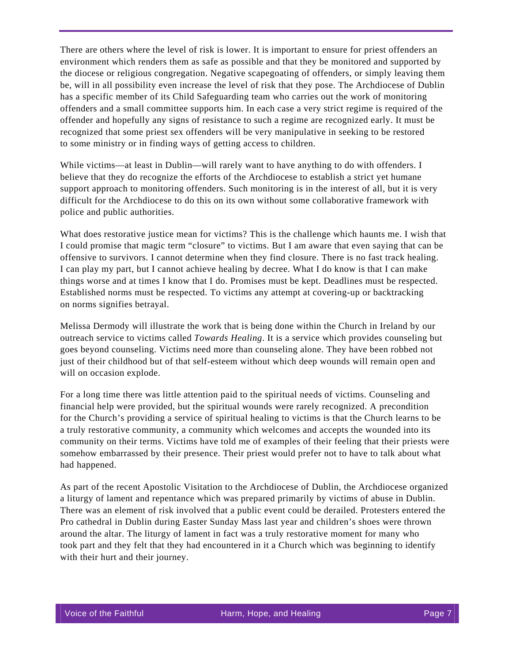There are others where the level of risk is lower. It is important to ensure for priest offenders an environment which renders them as safe as possible and that they be monitored and supported by the diocese or religious congregation. Negative scapegoating of offenders, or simply leaving them be, will in all possibility even increase the level of risk that they pose. The Archdiocese of Dublin has a specific member of its Child Safeguarding team who carries out the work of monitoring offenders and a small committee supports him. In each case a very strict regime is required of the offender and hopefully any signs of resistance to such a regime are recognized early. It must be recognized that some priest sex offenders will be very manipulative in seeking to be restored to some ministry or in finding ways of getting access to children.

While victims—at least in Dublin—will rarely want to have anything to do with offenders. I believe that they do recognize the efforts of the Archdiocese to establish a strict yet humane support approach to monitoring offenders. Such monitoring is in the interest of all, but it is very difficult for the Archdiocese to do this on its own without some collaborative framework with police and public authorities.

What does restorative justice mean for victims? This is the challenge which haunts me. I wish that I could promise that magic term "closure" to victims. But I am aware that even saying that can be offensive to survivors. I cannot determine when they find closure. There is no fast track healing. I can play my part, but I cannot achieve healing by decree. What I do know is that I can make things worse and at times I know that I do. Promises must be kept. Deadlines must be respected. Established norms must be respected. To victims any attempt at covering-up or backtracking on norms signifies betrayal.

Melissa Dermody will illustrate the work that is being done within the Church in Ireland by our outreach service to victims called *Towards Healing*. It is a service which provides counseling but goes beyond counseling. Victims need more than counseling alone. They have been robbed not just of their childhood but of that self-esteem without which deep wounds will remain open and will on occasion explode.

For a long time there was little attention paid to the spiritual needs of victims. Counseling and financial help were provided, but the spiritual wounds were rarely recognized. A precondition for the Church's providing a service of spiritual healing to victims is that the Church learns to be a truly restorative community, a community which welcomes and accepts the wounded into its community on their terms. Victims have told me of examples of their feeling that their priests were somehow embarrassed by their presence. Their priest would prefer not to have to talk about what had happened.

As part of the recent Apostolic Visitation to the Archdiocese of Dublin, the Archdiocese organized a liturgy of lament and repentance which was prepared primarily by victims of abuse in Dublin. There was an element of risk involved that a public event could be derailed. Protesters entered the Pro cathedral in Dublin during Easter Sunday Mass last year and children's shoes were thrown around the altar. The liturgy of lament in fact was a truly restorative moment for many who took part and they felt that they had encountered in it a Church which was beginning to identify with their hurt and their journey.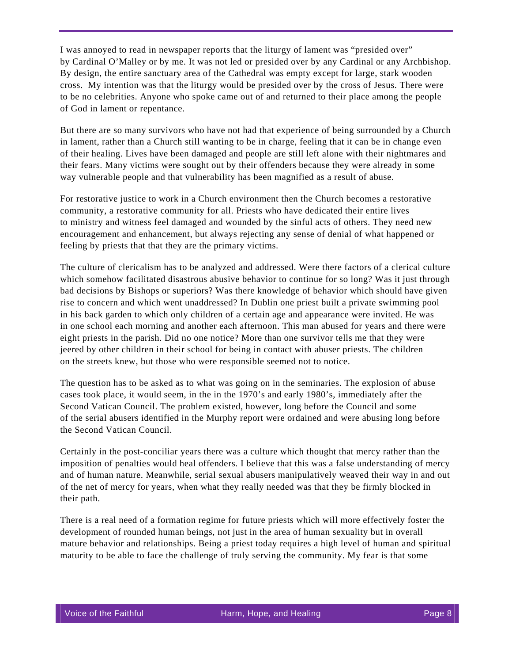I was annoyed to read in newspaper reports that the liturgy of lament was "presided over" by Cardinal O'Malley or by me. It was not led or presided over by any Cardinal or any Archbishop. By design, the entire sanctuary area of the Cathedral was empty except for large, stark wooden cross. My intention was that the liturgy would be presided over by the cross of Jesus. There were to be no celebrities. Anyone who spoke came out of and returned to their place among the people of God in lament or repentance.

But there are so many survivors who have not had that experience of being surrounded by a Church in lament, rather than a Church still wanting to be in charge, feeling that it can be in change even of their healing. Lives have been damaged and people are still left alone with their nightmares and their fears. Many victims were sought out by their offenders because they were already in some way vulnerable people and that vulnerability has been magnified as a result of abuse.

For restorative justice to work in a Church environment then the Church becomes a restorative community, a restorative community for all. Priests who have dedicated their entire lives to ministry and witness feel damaged and wounded by the sinful acts of others. They need new encouragement and enhancement, but always rejecting any sense of denial of what happened or feeling by priests that that they are the primary victims.

The culture of clericalism has to be analyzed and addressed. Were there factors of a clerical culture which somehow facilitated disastrous abusive behavior to continue for so long? Was it just through bad decisions by Bishops or superiors? Was there knowledge of behavior which should have given rise to concern and which went unaddressed? In Dublin one priest built a private swimming pool in his back garden to which only children of a certain age and appearance were invited. He was in one school each morning and another each afternoon. This man abused for years and there were eight priests in the parish. Did no one notice? More than one survivor tells me that they were jeered by other children in their school for being in contact with abuser priests. The children on the streets knew, but those who were responsible seemed not to notice.

The question has to be asked as to what was going on in the seminaries. The explosion of abuse cases took place, it would seem, in the in the 1970's and early 1980's, immediately after the Second Vatican Council. The problem existed, however, long before the Council and some of the serial abusers identified in the Murphy report were ordained and were abusing long before the Second Vatican Council.

Certainly in the post-conciliar years there was a culture which thought that mercy rather than the imposition of penalties would heal offenders. I believe that this was a false understanding of mercy and of human nature. Meanwhile, serial sexual abusers manipulatively weaved their way in and out of the net of mercy for years, when what they really needed was that they be firmly blocked in their path.

There is a real need of a formation regime for future priests which will more effectively foster the development of rounded human beings, not just in the area of human sexuality but in overall mature behavior and relationships. Being a priest today requires a high level of human and spiritual maturity to be able to face the challenge of truly serving the community. My fear is that some